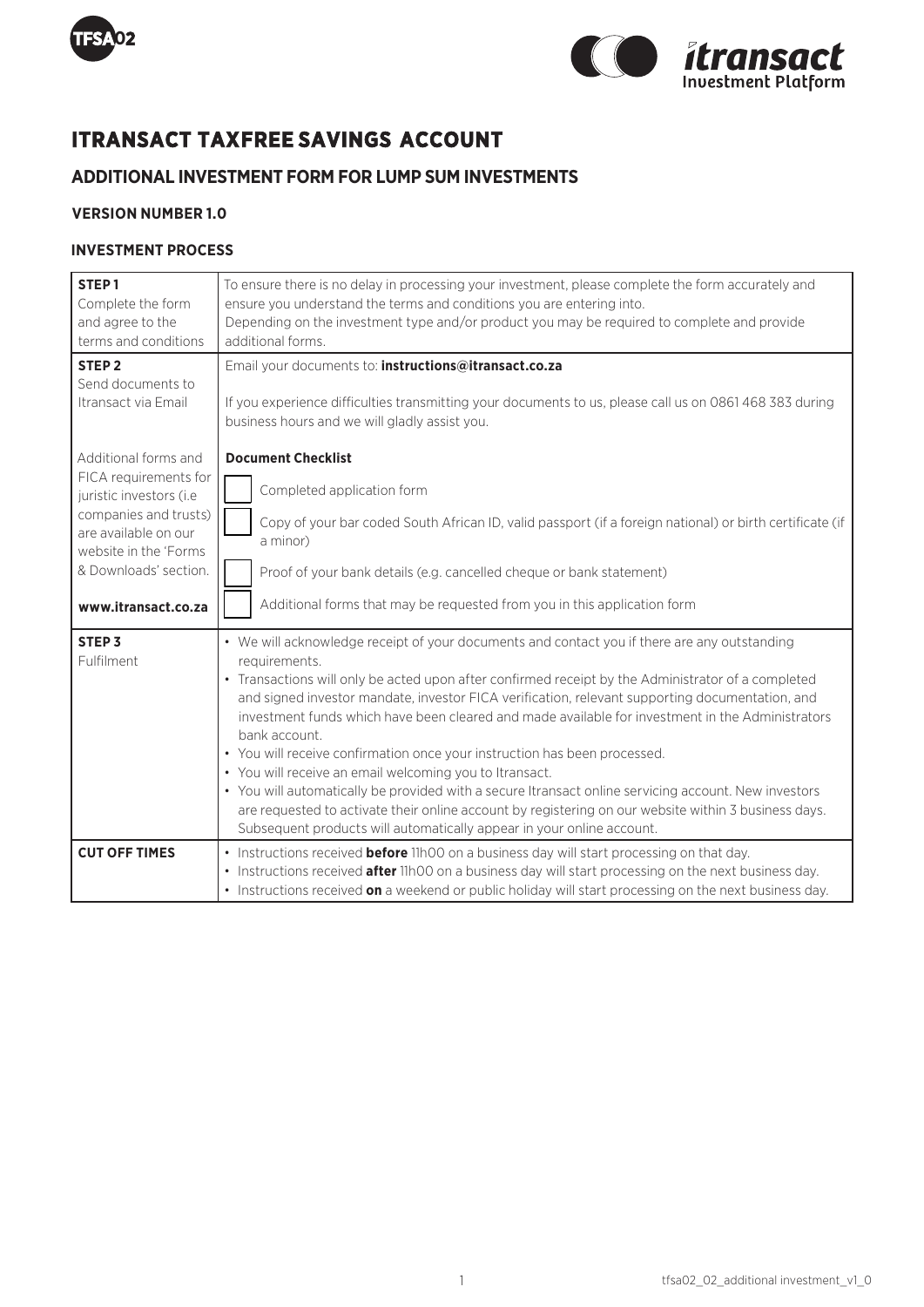



# **ITRANSACT TAXFREE SAVINGS ACCOUNT**

## **ADDITIONAL INVESTMENT FORM FOR LUMP SUM INVESTMENTS**

### **VERSION NUMBER 1.0**

### **INVESTMENT PROCESS**

| STEP <sub>1</sub><br>Complete the form<br>and agree to the<br>terms and conditions                                                                                                                 | To ensure there is no delay in processing your investment, please complete the form accurately and<br>ensure you understand the terms and conditions you are entering into.<br>Depending on the investment type and/or product you may be required to complete and provide<br>additional forms.                                                                                                                                                                                                                                                                                                                                                                                                                                                                                                                                                                              |
|----------------------------------------------------------------------------------------------------------------------------------------------------------------------------------------------------|------------------------------------------------------------------------------------------------------------------------------------------------------------------------------------------------------------------------------------------------------------------------------------------------------------------------------------------------------------------------------------------------------------------------------------------------------------------------------------------------------------------------------------------------------------------------------------------------------------------------------------------------------------------------------------------------------------------------------------------------------------------------------------------------------------------------------------------------------------------------------|
| STEP <sub>2</sub><br>Send documents to<br>Itransact via Email                                                                                                                                      | Email your documents to: instructions@itransact.co.za<br>If you experience difficulties transmitting your documents to us, please call us on 0861 468 383 during<br>business hours and we will gladly assist you.                                                                                                                                                                                                                                                                                                                                                                                                                                                                                                                                                                                                                                                            |
| Additional forms and<br>FICA requirements for<br>juristic investors (i.e<br>companies and trusts)<br>are available on our<br>website in the 'Forms<br>& Downloads' section.<br>www.itransact.co.za | <b>Document Checklist</b><br>Completed application form<br>Copy of your bar coded South African ID, valid passport (if a foreign national) or birth certificate (if<br>a minor)<br>Proof of your bank details (e.g. cancelled cheque or bank statement)<br>Additional forms that may be requested from you in this application form                                                                                                                                                                                                                                                                                                                                                                                                                                                                                                                                          |
| STEP <sub>3</sub><br>Fulfilment                                                                                                                                                                    | • We will acknowledge receipt of your documents and contact you if there are any outstanding<br>requirements.<br>• Transactions will only be acted upon after confirmed receipt by the Administrator of a completed<br>and signed investor mandate, investor FICA verification, relevant supporting documentation, and<br>investment funds which have been cleared and made available for investment in the Administrators<br>bank account.<br>• You will receive confirmation once your instruction has been processed.<br>• You will receive an email welcoming you to Itransact.<br>• You will automatically be provided with a secure Itransact online servicing account. New investors<br>are requested to activate their online account by registering on our website within 3 business days.<br>Subsequent products will automatically appear in your online account. |
| <b>CUT OFF TIMES</b>                                                                                                                                                                               | • Instructions received <b>before</b> 11h00 on a business day will start processing on that day.<br>• Instructions received <b>after</b> 11h00 on a business day will start processing on the next business day.<br>• Instructions received on a weekend or public holiday will start processing on the next business day.                                                                                                                                                                                                                                                                                                                                                                                                                                                                                                                                                   |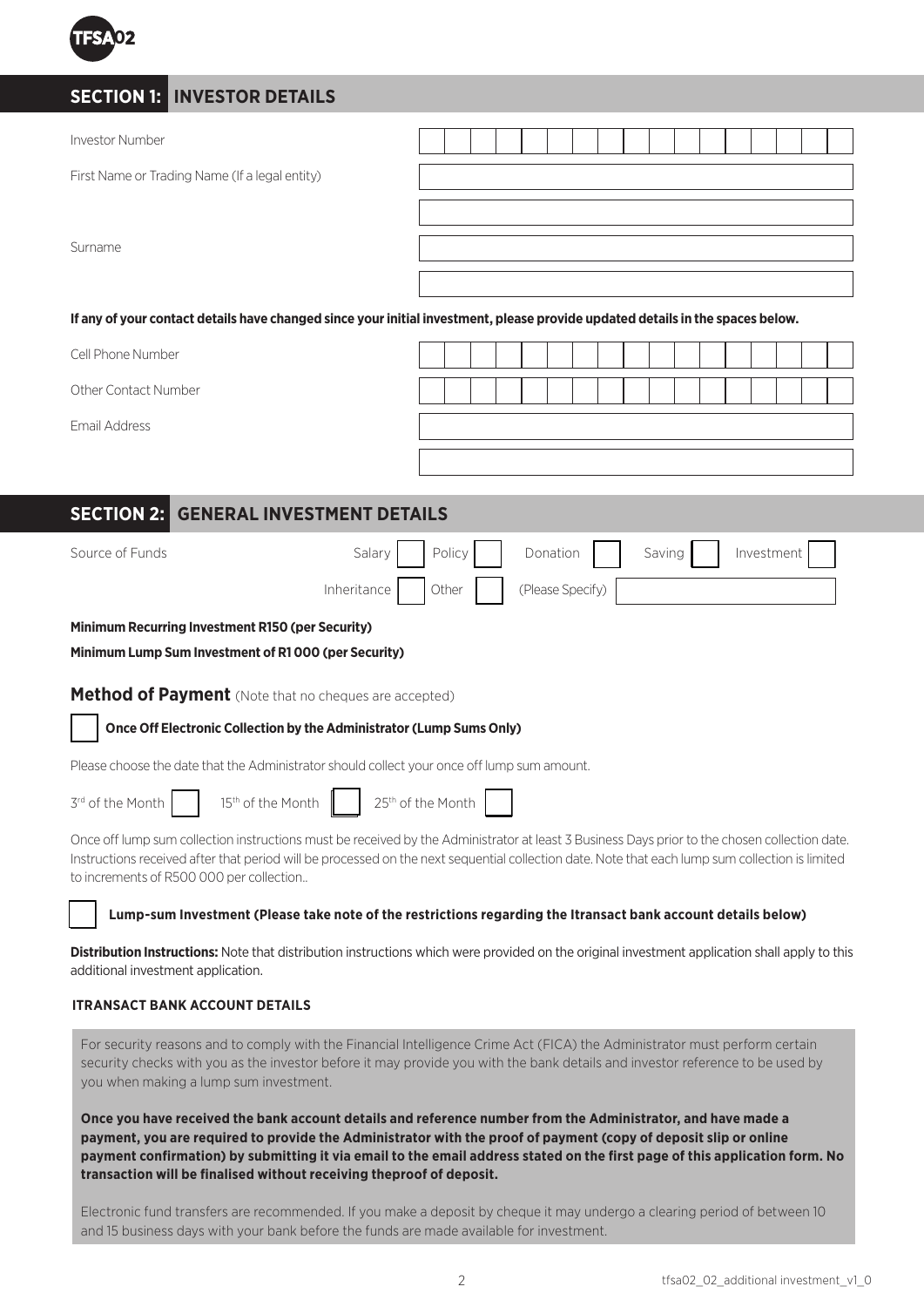

## **SECTION 1: INVESTOR DETAILS**

| Investor Number                                                                                                |                                                                                                                                                                                                                                                                                                  |
|----------------------------------------------------------------------------------------------------------------|--------------------------------------------------------------------------------------------------------------------------------------------------------------------------------------------------------------------------------------------------------------------------------------------------|
| First Name or Trading Name (If a legal entity)                                                                 |                                                                                                                                                                                                                                                                                                  |
|                                                                                                                |                                                                                                                                                                                                                                                                                                  |
| Surname                                                                                                        |                                                                                                                                                                                                                                                                                                  |
|                                                                                                                |                                                                                                                                                                                                                                                                                                  |
|                                                                                                                | If any of your contact details have changed since your initial investment, please provide updated details in the spaces below.                                                                                                                                                                   |
| Cell Phone Number                                                                                              |                                                                                                                                                                                                                                                                                                  |
| Other Contact Number                                                                                           |                                                                                                                                                                                                                                                                                                  |
| Email Address                                                                                                  |                                                                                                                                                                                                                                                                                                  |
|                                                                                                                |                                                                                                                                                                                                                                                                                                  |
| <b>SECTION 2: GENERAL INVESTMENT DETAILS</b>                                                                   |                                                                                                                                                                                                                                                                                                  |
|                                                                                                                |                                                                                                                                                                                                                                                                                                  |
| Source of Funds<br>Salary                                                                                      | Policy<br>Donation<br>Investment<br>Saving                                                                                                                                                                                                                                                       |
| Inheritance                                                                                                    | (Please Specify)<br>Other                                                                                                                                                                                                                                                                        |
| <b>Minimum Recurring Investment R150 (per Security)</b><br>Minimum Lump Sum Investment of R1000 (per Security) |                                                                                                                                                                                                                                                                                                  |
| <b>Method of Payment</b> (Note that no cheques are accepted)                                                   |                                                                                                                                                                                                                                                                                                  |
| Once Off Electronic Collection by the Administrator (Lump Sums Only)                                           |                                                                                                                                                                                                                                                                                                  |
| Please choose the date that the Administrator should collect your once off lump sum amount.                    |                                                                                                                                                                                                                                                                                                  |
| 3rd of the Month<br>15 <sup>th</sup> of the Month                                                              | 25 <sup>th</sup> of the Month                                                                                                                                                                                                                                                                    |
| to increments of R500 000 per collection                                                                       | Once off lump sum collection instructions must be received by the Administrator at least 3 Business Days prior to the chosen collection date.<br>Instructions received after that period will be processed on the next sequential collection date. Note that each lump sum collection is limited |
|                                                                                                                | Lump-sum Investment (Please take note of the restrictions regarding the Itransact bank account details below)                                                                                                                                                                                    |
| additional investment application.                                                                             | <b>Distribution Instructions:</b> Note that distribution instructions which were provided on the original investment application shall apply to this                                                                                                                                             |

### **ITRANSACT BANK ACCOUNT DETAILS**

For security reasons and to comply with the Financial Intelligence Crime Act (FICA) the Administrator must perform certain security checks with you as the investor before it may provide you with the bank details and investor reference to be used by you when making a lump sum investment.

**Once you have received the bank account details and reference number from the Administrator, and have made a payment, you are required to provide the Administrator with the proof of payment (copy of deposit slip or online payment confirmation) by submitting it via email to the email address stated on the first page of this application form. No transaction will be finalised without receiving theproof of deposit.**

Electronic fund transfers are recommended. If you make a deposit by cheque it may undergo a clearing period of between 10 and 15 business days with your bank before the funds are made available for investment.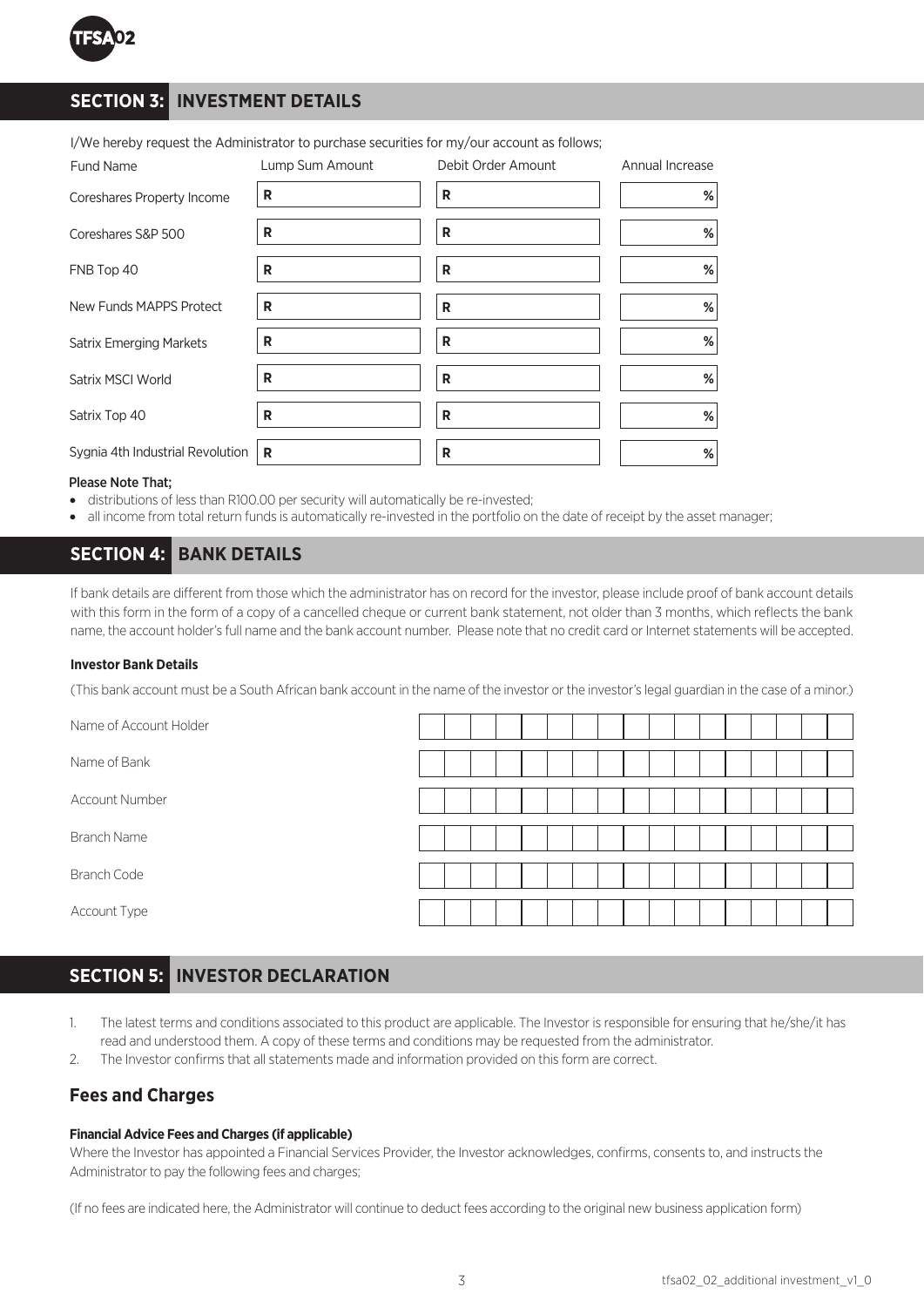

## **SECTION 3: INVESTMENT DETAILS**

| <b>Fund Name</b>                 | Lump Sum Amount | Debit Order Amount | Annual Increase |
|----------------------------------|-----------------|--------------------|-----------------|
| Coreshares Property Income       | R               | R                  | %               |
| Coreshares S&P 500               | R               | R                  | $\%$            |
| FNB Top 40                       | R               | R                  | $\%$            |
| New Funds MAPPS Protect          | R               | R                  | %               |
| <b>Satrix Emerging Markets</b>   | R               | R                  | %               |
| Satrix MSCI World                | R               | R                  | %               |
| Satrix Top 40                    | R               | R                  | $\%$            |
| Sygnia 4th Industrial Revolution | R               | R                  | %               |

I/We hereby request the Administrator to purchase securities for my/our account as follows;

#### Please Note That;

- distributions of less than R100.00 per security will automatically be re-invested;
- all income from total return funds is automatically re-invested in the portfolio on the date of receipt by the asset manager;

### **SECTION 4: BANK DETAILS**

If bank details are different from those which the administrator has on record for the investor, please include proof of bank account details with this form in the form of a copy of a cancelled cheque or current bank statement, not older than 3 months, which reflects the bank name, the account holder's full name and the bank account number. Please note that no credit card or Internet statements will be accepted.

### **Investor Bank Details**

(This bank account must be a South African bank account in the name of the investor or the investor's legal guardian in the case of a minor.)

Name of Account Holder Name of Bank Account Number Branch Name Branch Code Account Type

## **SECTION 5: INVESTOR DECLARATION**

- 1. The latest terms and conditions associated to this product are applicable. The Investor is responsible for ensuring that he/she/it has read and understood them. A copy of these terms and conditions may be requested from the administrator.
- 2. The Investor confirms that all statements made and information provided on this form are correct.

### **Fees and Charges**

#### **Financial Advice Fees and Charges (if applicable)**

Where the Investor has appointed a Financial Services Provider, the Investor acknowledges, confirms, consents to, and instructs the Administrator to pay the following fees and charges;

(If no fees are indicated here, the Administrator will continue to deduct fees according to the original new business application form)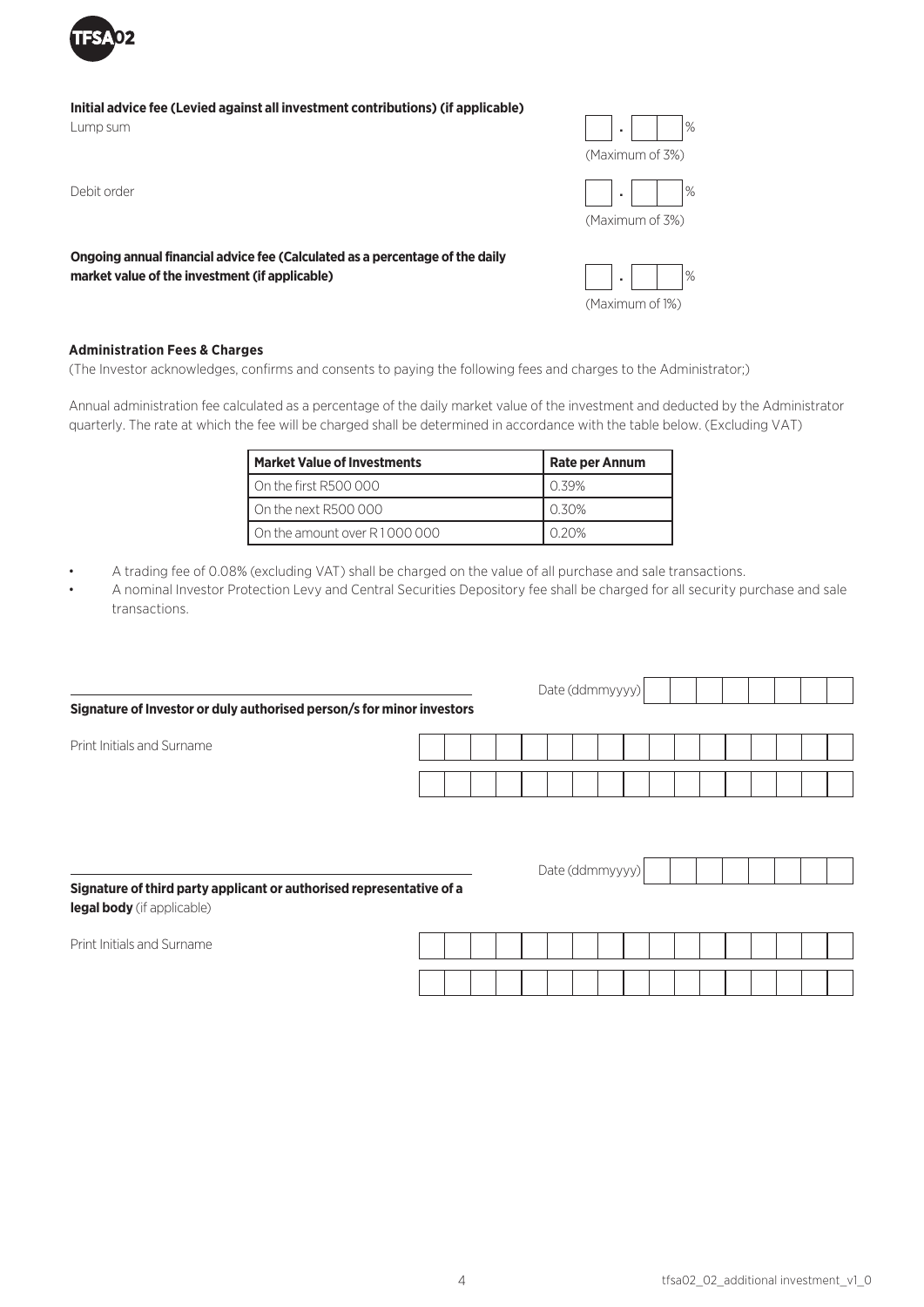

### Initial advice fee (Levied against all investment contributions) (if applicable)

Lump sum

Ongoing annual financial advice fee (Calculated as a percentage of the daily market value of the investment (if applicable)





(Maximum of 1%)

**Administration Fees & Charges**

(The Investor acknowledges, confirms and consents to paying the following fees and charges to the Administrator;)

Annual administration fee calculated as a percentage of the daily market value of the investment and deducted by the Administrator quarterly. The rate at which the fee will be charged shall be determined in accordance with the table below. (Excluding VAT)

| <b>Market Value of Investments</b>  | <b>Rate per Annum</b> |
|-------------------------------------|-----------------------|
| On the first R500 000               | 0.39%                 |
| $\overline{)}$ On the next R500 000 | 0.30%                 |
| On the amount over R1000000         | U 20%                 |

• A trading fee of 0.08% (excluding VAT) shall be charged on the value of all purchase and sale transactions.

• A nominal Investor Protection Levy and Central Securities Depository fee shall be charged for all security purchase and sale transactions.

|                                                                       |  |  |  |  |  |                 |  |  |  | Date (ddmmyyyy) |  |  |  |  |  |  |  |  |  |  |
|-----------------------------------------------------------------------|--|--|--|--|--|-----------------|--|--|--|-----------------|--|--|--|--|--|--|--|--|--|--|
| Signature of Investor or duly authorised person/s for minor investors |  |  |  |  |  |                 |  |  |  |                 |  |  |  |  |  |  |  |  |  |  |
| Print Initials and Surname                                            |  |  |  |  |  |                 |  |  |  |                 |  |  |  |  |  |  |  |  |  |  |
|                                                                       |  |  |  |  |  |                 |  |  |  |                 |  |  |  |  |  |  |  |  |  |  |
|                                                                       |  |  |  |  |  |                 |  |  |  |                 |  |  |  |  |  |  |  |  |  |  |
|                                                                       |  |  |  |  |  |                 |  |  |  |                 |  |  |  |  |  |  |  |  |  |  |
| Signature of third party applicant or authorised representative of a  |  |  |  |  |  | Date (ddmmyyyy) |  |  |  |                 |  |  |  |  |  |  |  |  |  |  |
| legal body (if applicable)                                            |  |  |  |  |  |                 |  |  |  |                 |  |  |  |  |  |  |  |  |  |  |

Print Initials and Surname